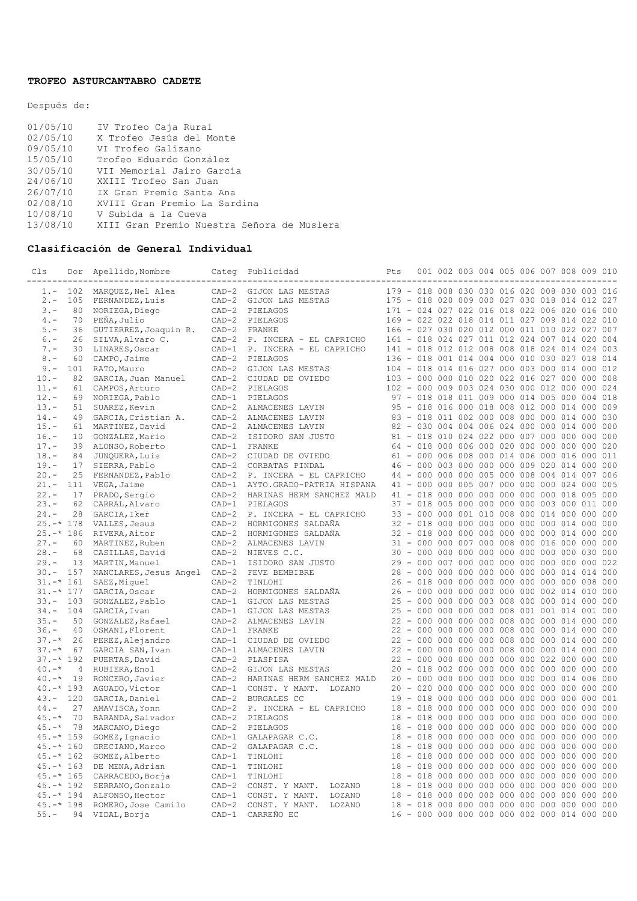## **TROFEO ASTURCANTABRO CADETE**

Después de:

| 01/05/10 | IV Trofeo Caja Rural                       |
|----------|--------------------------------------------|
| 02/05/10 | X Trofeo Jesús del Monte                   |
| 09/05/10 | VI Trofeo Galizano                         |
| 15/05/10 | Trofeo Eduardo González                    |
| 30/05/10 | VII Memorial Jairo García                  |
| 24/06/10 | XXIII Trofeo San Juan                      |
| 26/07/10 | IX Gran Premio Santa Ana                   |
| 02/08/10 | XVIII Gran Premio La Sardina               |
| 10/08/10 | V Subida a la Cueva                        |
| 13/08/10 | XIII Gran Premio Nuestra Señora de Muslera |
|          |                                            |

## **Clasificación de General Individual**

| Cls                          | Dor            | Apellido, Nombre                    | Categ   | Publicidad                                                 | Pts                                           | 001 002 003 004 005 006 007 008 009 010                                                  |  |  |  |            |
|------------------------------|----------------|-------------------------------------|---------|------------------------------------------------------------|-----------------------------------------------|------------------------------------------------------------------------------------------|--|--|--|------------|
| $1 -$                        | 102            | MAROUEZ, Nel Alea                   | $CAD-2$ | GIJON LAS MESTAS                                           | 179 - 018 008 030 030 016 020 008 030 003 016 |                                                                                          |  |  |  |            |
| $2 -$                        | 105            | FERNANDEZ, Luis                     | $CAD-2$ | GIJON LAS MESTAS                                           | 175 - 018 020 009 000 027 030 018 014 012     |                                                                                          |  |  |  | 027        |
| $3 -$                        | 80             | NORIEGA, Diego                      | $CAD-2$ | PIELAGOS                                                   | 171 - 024 027 022 016 018 022 006 020 016 000 |                                                                                          |  |  |  |            |
| $4 -$                        | 70             | PEÑA, Julio                         |         | CAD-2 PIELAGOS                                             | 169 - 022 022 018 014 011 027 009 014 022 010 |                                                                                          |  |  |  |            |
| $5. -$                       | 36             | GUTIERREZ, Joaquin R.               |         | CAD-2 FRANKE                                               | 166 - 027 030 020 012 000 011 010 022 027     |                                                                                          |  |  |  | 007        |
| $6 -$                        | 26             | SILVA, Alvaro C.                    |         | CAD-2 P. INCERA - EL CAPRICHO                              | 161 - 018 024 027 011 012 024 007 014 020     |                                                                                          |  |  |  | 004        |
| $7 -$                        | 30             | LINARES, Oscar                      |         | CAD-1 P. INCERA - EL CAPRICHO                              | 141 - 018 012 012 008 008 018 024 014 024     |                                                                                          |  |  |  | 003        |
| $8 -$                        | 60             | CAMPO, Jaime                        |         | CAD-2 PIELAGOS                                             | 136 - 018 001 014 004 000 010 030 027 018     |                                                                                          |  |  |  | 014        |
| $9 -$                        | 101            | RATO, Mauro                         | $CAD-2$ | GIJON LAS MESTAS                                           | 104 - 018 014 016 027 000 003 000 014 000     |                                                                                          |  |  |  | 012        |
| $10 -$                       | 82             | GARCIA, Juan Manuel                 |         | CAD-2 CIUDAD DE OVIEDO                                     | 103 - 000 000 010 020 022 016 027 000 000     |                                                                                          |  |  |  | 008        |
| $11. -$                      | 61             | CAMPOS, Arturo                      | $CAD-2$ | PIELAGOS                                                   | 102 - 000 009 003 024 030 000 012 000 000     |                                                                                          |  |  |  | 024        |
| $12. -$                      | 69             | NORIEGA, Pablo                      |         | CAD-1 PIELAGOS                                             |                                               | 97 - 018 018 011 009 000 014 005 000 004                                                 |  |  |  | 018        |
| $13 -$                       | 51             | SUAREZ, Kevin                       | $CAD-2$ | ALMACENES LAVIN                                            |                                               | 95 - 018 016 000 018 008 012 000 014 000                                                 |  |  |  | 009        |
| $14. -$                      | 49             | GARCIA, Cristian A.                 | $CAD-2$ | ALMACENES LAVIN                                            |                                               | 83 - 018 011 002 000 008 000 000 014 000                                                 |  |  |  | 030        |
| $15. -$                      | 61             | MARTINEZ, David                     |         | CAD-2 ALMACENES LAVIN                                      |                                               | 82 - 030 004 004 006 024 000 000 014 000                                                 |  |  |  | 000        |
| $16. -$                      | 10             | GONZALEZ, Mario                     | $CAD-2$ | ISIDORO SAN JUSTO                                          |                                               | 81 - 018 010 024 022 000 007 000 000 000                                                 |  |  |  | 000        |
| $17 -$                       | 39             | ALONSO, Roberto                     |         | CAD-1 FRANKE                                               |                                               | 64 - 018 000 006 000 020 000 000 000 000 020                                             |  |  |  |            |
| $18. -$                      | 84             | JUNQUERA, Luis                      | $CAD-2$ | CIUDAD DE OVIEDO                                           |                                               | 61 - 000 006 008 000 014 006 000 016 000                                                 |  |  |  | 011        |
| $19. -$                      | 17             | SIERRA, Pablo                       | $CAD-2$ | CORBATAS PINDAL                                            |                                               | 46 - 000 003 000 000 000 009 020 014 000                                                 |  |  |  | 000        |
| $20 -$                       | 25             | FERNANDEZ, Pablo                    | $CAD-2$ | P. INCERA - EL CAPRICHO                                    |                                               | 44 - 000 000 000 005 000 008 004 014 007 006                                             |  |  |  |            |
| $21 -$                       | 111            | VEGA, Jaime                         | $CAD-1$ | AYTO.GRADO-PATRIA HISPANA                                  |                                               | 41 - 000 000 005 007 000 000 000 024 000                                                 |  |  |  | 005        |
| $22 -$                       | 17             | PRADO, Sergio                       | $CAD-2$ | HARINAS HERM SANCHEZ MALD                                  |                                               | 41 - 018 000 000 000 000 000 000 018 005                                                 |  |  |  | 000        |
| $23 -$<br>$24. -$            | 62<br>28       | CARRAL, Alvaro                      | $CAD-1$ | PIELAGOS<br>CAD-2 P. INCERA - EL CAPRICHO                  |                                               | 37 - 018 005 000 000 000 000 003 000 011 000<br>33 - 000 000 001 010 008 000 014 000 000 |  |  |  | 000        |
| $25. -* 178$                 |                | GARCIA, Iker<br>VALLES, Jesus       | $CAD-2$ | HORMIGONES SALDAÑA                                         |                                               | 32 - 018 000 000 000 000 000 000 014 000                                                 |  |  |  | 000        |
| $25. -* 186$                 |                | RIVERA, Aitor                       | $CAD-2$ | HORMIGONES SALDAÑA                                         |                                               | 32 - 018 000 000 000 000 000 000 014 000                                                 |  |  |  | 000        |
| $27. -$                      | 60             | MARTINEZ, Ruben                     | $CAD-2$ | ALMACENES LAVIN                                            |                                               | 31 - 000 000 007 000 008 000 016 000 000                                                 |  |  |  | 000        |
| $28 -$                       | 68             | CASILLAS, David                     |         | CAD-2 NIEVES C.C.                                          |                                               | 30 - 000 000 000 000 000 000 000 000 030                                                 |  |  |  | 000        |
| $29. -$                      | 13             | MARTIN, Manuel                      | $CAD-1$ | ISIDORO SAN JUSTO                                          |                                               | 29 - 000 007 000 000 000 000 000 000 000                                                 |  |  |  | 022        |
| $30 -$                       | 157            | NANCLARES, Jesus Angel CAD-2        |         | FEVE BEMBIBRE                                              |                                               | 28 - 000 000 000 000 000 000 000 014 014                                                 |  |  |  | 000        |
| $31. -* 161$                 |                | SAEZ, Miquel                        | $CAD-2$ | TINLOHI                                                    |                                               | 26 - 018 000 000 000 000 000 000 000 008                                                 |  |  |  | 000        |
| $31. -* 177$                 |                | GARCIA, Oscar                       | $CAD-2$ | HORMIGONES SALDAÑA                                         |                                               | 26 - 000 000 000 000 000 000 002 014 010                                                 |  |  |  | 000        |
| $33 - 103$                   |                | GONZALEZ, Pablo                     | $CAD-1$ | GIJON LAS MESTAS                                           |                                               | 25 - 000 000 000 003 008 000 000 014 000                                                 |  |  |  | 000        |
| $34 -$                       | 104            | GARCIA, Ivan                        | $CAD-1$ | GIJON LAS MESTAS                                           |                                               | 25 - 000 000 000 000 008 001 001 014 001                                                 |  |  |  | 000        |
| $35. -$                      | 50             | GONZALEZ, Rafael                    | $CAD-2$ | ALMACENES LAVIN                                            |                                               | 22 - 000 000 000 000 008 000 000 014 000                                                 |  |  |  | 000        |
| $36. -$                      | 40             | OSMANI, Florent                     | $CAD-1$ | FRANKE                                                     |                                               | 22 - 000 000 000 000 008 000 000 014 000                                                 |  |  |  | 000        |
| $37. - *$                    | 26             | PEREZ, Alejandro                    |         | CAD-1 CIUDAD DE OVIEDO                                     |                                               | 22 - 000 000 000 000 008 000 000 014 000                                                 |  |  |  | 000        |
| $37. - *$                    | 67             | GARCIA SAN, Ivan                    |         | CAD-1 ALMACENES LAVIN                                      |                                               | 22 - 000 000 000 000 008 000 000 014 000                                                 |  |  |  | 000        |
| $37. -* 192$                 |                | PUERTAS, David                      |         | CAD-2 PLASPISA                                             |                                               |                                                                                          |  |  |  | 000        |
| $40. -*$                     | $\overline{4}$ | RUBIERA, Enol                       | $CAD-2$ | GIJON LAS MESTAS                                           |                                               | 20 - 018 002 000 000 000 000 000 000 000                                                 |  |  |  | 000        |
| $40 - *$                     | 19             | RONCERO, Javier                     | $CAD-2$ | HARINAS HERM SANCHEZ MALD                                  |                                               | 20 - 000 000 000 000 000 000 000 014 006 000                                             |  |  |  |            |
| $40. -* 193$                 |                | AGUADO, Victor                      | $CAD-1$ | CONST. Y MANT. LOZANO                                      |                                               |                                                                                          |  |  |  | 000        |
| $43 - 120$                   |                | GARCIA, Daniel                      | $CAD-2$ | <b>BURGALES CC</b>                                         |                                               | 19 - 018 000 000 000 000 000 000 000 000                                                 |  |  |  | 001        |
| $44. -$                      | 27             | AMAVISCA, Yonn                      |         | CAD-2 P. INCERA - EL CAPRICHO                              |                                               | 18 - 018 000 000 000 000 000 000 000 000                                                 |  |  |  | 000        |
| $45. -*$                     | 70             | BARANDA, Salvador                   | $CAD-2$ | PIELAGOS                                                   |                                               | 18 - 018 000 000 000 000 000 000 000 000                                                 |  |  |  | 000        |
| $45. -*$                     | 78             | MARCANO, Diego                      | $CAD-2$ | PIELAGOS                                                   |                                               | 18 - 018 000 000 000 000 000 000 000 000                                                 |  |  |  | 000        |
| $45. -* 159$                 |                | GOMEZ, Ignacio                      |         | CAD-1 GALAPAGAR C.C.                                       | 18                                            |                                                                                          |  |  |  | 000        |
| $45. -* 160$                 |                | GRECIANO, Marco                     | $CAD-2$ | GALAPAGAR C.C.                                             |                                               | 18 - 018 000 000 000 000 000 000 000 000                                                 |  |  |  | 000        |
| $45. -* 162$                 |                | GOMEZ, Alberto                      | $CAD-1$ | TINLOHI                                                    |                                               | 18 - 018 000 000 000 000 000 000 000 000                                                 |  |  |  | 000        |
| $45. -* 163$                 |                | DE MENA, Adrian                     | $CAD-1$ | TINLOHI                                                    | 18                                            |                                                                                          |  |  |  | 000        |
| $45. -* 165$                 |                | CARRACEDO, Borja                    | $CAD-1$ | TINLOHI                                                    |                                               | 18 - 018 000 000 000 000 000 000 000 000                                                 |  |  |  | 000        |
| $45. -* 192$<br>$45. -* 194$ |                | SERRANO, Gonzalo                    | $CAD-2$ | CONST. Y MANT.<br>LOZANO                                   |                                               | 18 - 018 000 000 000 000 000 000 000 000<br>18 - 018 000 000 000 000 000 000 000 000     |  |  |  | 000<br>000 |
| $45. -* 198$                 |                | ALFONSO, Hector                     | $CAD-1$ | CONST. Y MANT.<br>LOZANO<br>CAD-2 CONST. Y MANT.<br>LOZANO |                                               | 18 - 018 000 000 000 000 000 000 000 000                                                 |  |  |  | 000        |
| $55. -$                      | 94             | ROMERO, Jose Camilo<br>VIDAL, Borja | $CAD-1$ | CARREÑO EC                                                 |                                               | 16 - 000 000 000 000 000 002 000 014 000 000                                             |  |  |  |            |
|                              |                |                                     |         |                                                            |                                               |                                                                                          |  |  |  |            |